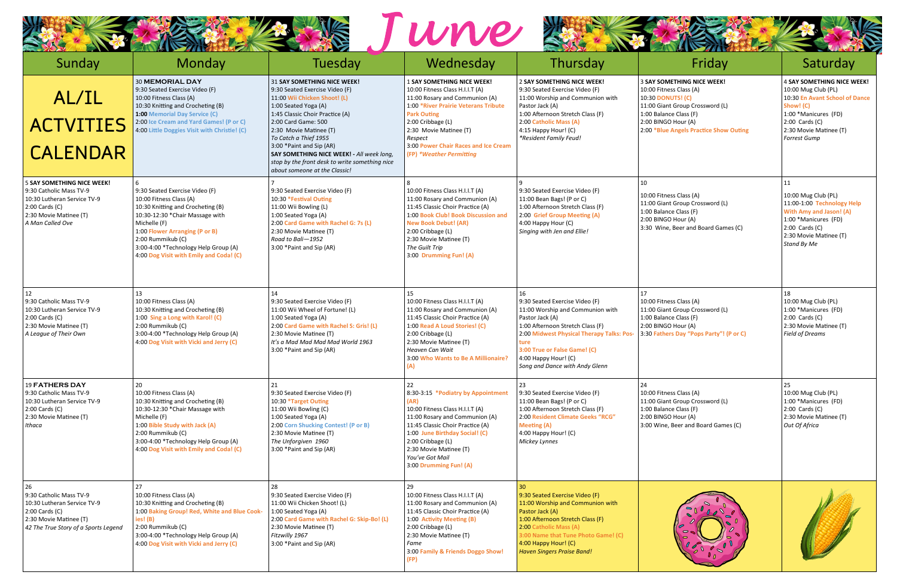|                                                                                                                                                                 |                                                                                                                                                                                                                                                                                             |                                                                                                                                                                                                                                                                                                                                                                                                            | une                                                                                                                                                                                                                                                                                                             |                                                                                                                                                                                                                                                                                |                                                                                                                                                                                                                                  |                                                                                                                                                                                                             |
|-----------------------------------------------------------------------------------------------------------------------------------------------------------------|---------------------------------------------------------------------------------------------------------------------------------------------------------------------------------------------------------------------------------------------------------------------------------------------|------------------------------------------------------------------------------------------------------------------------------------------------------------------------------------------------------------------------------------------------------------------------------------------------------------------------------------------------------------------------------------------------------------|-----------------------------------------------------------------------------------------------------------------------------------------------------------------------------------------------------------------------------------------------------------------------------------------------------------------|--------------------------------------------------------------------------------------------------------------------------------------------------------------------------------------------------------------------------------------------------------------------------------|----------------------------------------------------------------------------------------------------------------------------------------------------------------------------------------------------------------------------------|-------------------------------------------------------------------------------------------------------------------------------------------------------------------------------------------------------------|
| Sunday<br>AL/IL<br><b>ACTVITIES</b><br><b>CALENDAR</b>                                                                                                          | Monday<br><b>30 MEMORIAL DAY</b><br>9:30 Seated Exercise Video (F)<br>10:00 Fitness Class (A)<br>10:30 Knitting and Crocheting (B)<br>1:00 Memorial Day Service (C)<br>2:00 Ice Cream and Yard Games! (P or C)<br>4:00 Little Doggies Visit with Christie! (C)                              | Tuesday<br>31 SAY SOMETHING NICE WEEK!<br>9:30 Seated Exercise Video (F)<br>11:00 Wii Chicken Shoot! (L)<br>1:00 Seated Yoga (A)<br>1:45 Classic Choir Practice (A)<br>2:00 Card Game: 500<br>2:30 Movie Matinee (T)<br>To Catch a Thief 1955<br>3:00 * Paint and Sip (AR)<br>SAY SOMETHING NICE WEEK! - All week long,<br>stop by the front desk to write something nice<br>about someone at the Classic! | Wednesday<br><b>1 SAY SOMETHING NICE WEEK!</b><br>10:00 Fitness Class H.I.I.T (A)<br>11:00 Rosary and Communion (A)<br>1:00 *River Prairie Veterans Tribute<br><b>Park Outing</b><br>2:00 Cribbage (L)<br>2:30 Movie Matinee (T)<br>Respect<br>3:00 Power Chair Races and Ice Cream<br>(FP) *Weather Permitting | Thursday<br>2 SAY SOMETHING NICE WEEK!<br>9:30 Seated Exercise Video (F)<br>11:00 Worship and Communion with<br>Pastor Jack (A)<br>1:00 Afternoon Stretch Class (F)<br>2:00 Catholic Mass (A)<br>4:15 Happy Hour! (C)<br>*Resident Family Feud!                                | Friday<br><b>3 SAY SOMETHING NICE WEEK!</b><br>10:00 Fitness Class (A)<br><b>10:30 DONUTS! (C)</b><br>11:00 Giant Group Crossword (L)<br>1:00 Balance Class (F)<br>2:00 BINGO Hour (A)<br>2:00 *Blue Angels Practice Show Outing | Saturday<br><b>4 SAY SOMETHING NICE WEEK!</b><br>10:00 Mug Club (PL)<br>10:30 En Avant School of Dance<br>Show! (C)<br>1:00 *Manicures (FD)<br>$2:00$ Cards $(C)$<br>2:30 Movie Matinee (T)<br>Forrest Gump |
| <b>5 SAY SOMETHING NICE WEEK!</b><br>9:30 Catholic Mass TV-9<br>10:30 Lutheran Service TV-9<br>$2:00$ Cards $(C)$<br>2:30 Movie Matinee (T)<br>A Man Called Ove | 9:30 Seated Exercise Video (F)<br>10:00 Fitness Class (A)<br>10:30 Knitting and Crocheting (B)<br>10:30-12:30 *Chair Massage with<br>Michelle (F)<br>1:00 Flower Arranging (P or B)<br>2:00 Rummikub (C)<br>3:00-4:00 *Technology Help Group (A)<br>4:00 Dog Visit with Emily and Coda! (C) | 9:30 Seated Exercise Video (F)<br>10:30 *Festival Outing<br>11:00 Wii Bowling (L)<br>1:00 Seated Yoga (A)<br>2:00 Card Game with Rachel G: 7s (L)<br>2:30 Movie Matinee (T)<br>Road to Bali-1952<br>3:00 * Paint and Sip (AR)                                                                                                                                                                              | 10:00 Fitness Class H.I.I.T (A)<br>11:00 Rosary and Communion (A)<br>11:45 Classic Choir Practice (A)<br>1:00 Book Club! Book Discussion and<br><b>New Book Debut! (AR)</b><br>2:00 Cribbage (L)<br>2:30 Movie Matinee (T)<br>The Guilt Trip<br>3:00 Drumming Fun! (A)                                          | 9:30 Seated Exercise Video (F)<br>11:00 Bean Bags! (P or C)<br>1:00 Afternoon Stretch Class (F)<br>2:00 Grief Group Meeting (A)<br>4:00 Happy Hour (C)<br>Singing with Jen and Ellie!                                                                                          | 10<br>10:00 Fitness Class (A)<br>11:00 Giant Group Crossword (L)<br>1:00 Balance Class (F)<br>2:00 BINGO Hour (A)<br>3:30 Wine, Beer and Board Games (C)                                                                         | 11<br>10:00 Mug Club (PL)<br>11:00-1:00 Technology Help<br>With Amy and Jason! (A)<br>1:00 *Manicures (FD)<br>$2:00$ Cards $(C)$<br>2:30 Movie Matinee (T)<br>Stand By Me                                   |
| 12<br>9:30 Catholic Mass TV-9<br>10:30 Lutheran Service TV-9<br>2:00 Cards (C)<br>2:30 Movie Matinee (T)<br>A League of Their Own                               | 13<br>10:00 Fitness Class (A)<br>10:30 Knitting and Crocheting (B)<br>1:00 Sing a Long with Karol! (C)<br>2:00 Rummikub (C)<br>3:00-4:00 *Technology Help Group (A)<br>4:00 Dog Visit with Vicki and Jerry (C)                                                                              | 14<br>9:30 Seated Exercise Video (F)<br>11:00 Wii Wheel of Fortune! (L)<br>1:00 Seated Yoga (A)<br>2:00 Card Game with Rachel S: Gris! (L)<br>2:30 Movie Matinee (T)<br>It's a Mad Mad Mad Mad World 1963<br>3:00 * Paint and Sip (AR)                                                                                                                                                                     | 15<br>10:00 Fitness Class H.I.I.T (A)<br>11:00 Rosary and Communion (A)<br>11:45 Classic Choir Practice (A)<br>1:00 Read A Loud Stories! (C)<br>2:00 Cribbage (L)<br>2:30 Movie Matinee (T)<br>Heaven Can Wait<br>3:00 Who Wants to Be A Millionaire?                                                           | 16<br>9:30 Seated Exercise Video (F)<br>11:00 Worship and Communion with<br>Pastor Jack (A)<br>1:00 Afternoon Stretch Class (F)<br>2:00 Midwest Physical Therapy Talks: Pos-<br>ture<br>3:00 True or False Game! (C)<br>4:00 Happy Hour! (C)<br>Song and Dance with Andy Glenn | 17<br>10:00 Fitness Class (A)<br>11:00 Giant Group Crossword (L)<br>1:00 Balance Class (F)<br>2:00 BINGO Hour (A)<br>3:30 Fathers Day "Pops Party"! (P or C)                                                                     | 18<br>10:00 Mug Club (PL)<br>1:00 *Manicures (FD)<br>$2:00$ Cards $(C)$<br>2:30 Movie Matinee (T)<br><b>Field of Dreams</b>                                                                                 |
| <b>19 FATHERS DAY</b><br>9:30 Catholic Mass TV-9<br>10:30 Lutheran Service TV-9<br>$2:00$ Cards $(C)$<br>2:30 Movie Matinee (T)<br>Ithaca                       | 20<br>10:00 Fitness Class (A)<br>10:30 Knitting and Crocheting (B)<br>10:30-12:30 *Chair Massage with<br>Michelle (F)<br>1:00 Bible Study with Jack (A)<br>2:00 Rummikub (C)<br>3:00-4:00 *Technology Help Group (A)<br>4:00 Dog Visit with Emily and Coda! (C)                             | 21<br>9:30 Seated Exercise Video (F)<br>10:30 *Target Outing<br>11:00 Wii Bowling (C)<br>1:00 Seated Yoga (A)<br>2:00 Corn Shucking Contest! (P or B)<br>2:30 Movie Matinee (T)<br>The Unforgiven 1960<br>3:00 * Paint and Sip (AR)                                                                                                                                                                        | 22<br>8:30-3:15 *Podiatry by Appointment<br>(AR)<br>10:00 Fitness Class H.I.I.T (A)<br>11:00 Rosary and Communion (A)<br>11:45 Classic Choir Practice (A)<br>1:00 June Birthday Social! (C)<br>2:00 Cribbage (L)<br>2:30 Movie Matinee (T)<br>You've Got Mail<br>3:00 Drumming Fun! (A)                         | 23<br>9:30 Seated Exercise Video (F)<br>11:00 Bean Bags! (P or C)<br>1:00 Afternoon Stretch Class (F)<br>2:00 Resident Climate Geeks "RCG"<br><b>Meeting (A)</b><br>4:00 Happy Hour! (C)<br>Mickey Lynnes                                                                      | 24<br>10:00 Fitness Class (A)<br>11:00 Giant Group Crossword (L)<br>1:00 Balance Class (F)<br>2:00 BINGO Hour (A)<br>3:00 Wine, Beer and Board Games (C)                                                                         | 25<br>10:00 Mug Club (PL)<br>1:00 *Manicures (FD)<br>$2:00$ Cards $(C)$<br>2:30 Movie Matinee (T)<br>Out Of Africa                                                                                          |
| 26<br>9:30 Catholic Mass TV-9<br>10:30 Lutheran Service TV-9<br>2:00 Cards (C)<br>2:30 Movie Matinee (T)<br>42 The True Story of a Sports Legend                | 27<br>10:00 Fitness Class (A)<br>10:30 Knitting and Crocheting (B)<br>1:00 Baking Group! Red, White and Blue Cook-<br>ies! (B)<br>2:00 Rummikub (C)<br>3:00-4:00 *Technology Help Group (A)<br>4:00 Dog Visit with Vicki and Jerry (C)                                                      | 28<br>9:30 Seated Exercise Video (F)<br>11:00 Wii Chicken Shoot! (L)<br>1:00 Seated Yoga (A)<br>2:00 Card Game with Rachel G: Skip-Bo! (L)<br>2:30 Movie Matinee (T)<br>Fitzwilly 1967<br>3:00 * Paint and Sip (AR)                                                                                                                                                                                        | 10:00 Fitness Class H.I.I.T (A)<br>11:00 Rosary and Communion (A)<br>11:45 Classic Choir Practice (A)<br>1:00 Activity Meeting (B)<br>2:00 Cribbage (L)<br>2:30 Movie Matinee (T)<br>Fame<br>3:00 Family & Friends Doggo Show!<br>(FP)                                                                          | 9:30 Seated Exercise Video (F)<br>11:00 Worship and Communion with<br>Pastor Jack (A)<br>1:00 Afternoon Stretch Class (F)<br>2:00 Catholic Mass (A)<br>3:00 Name that Tune Photo Game! (C)<br>4:00 Happy Hour! (C)<br><b>Haven Singers Praise Band!</b>                        | 800<br>$\overline{\phantom{a}}$<br>$\blacksquare$<br>100<br>$\mathcal{L}_{\delta}$<br>$\mathbf{0}$ $\mathbf{0}$                                                                                                                  |                                                                                                                                                                                                             |